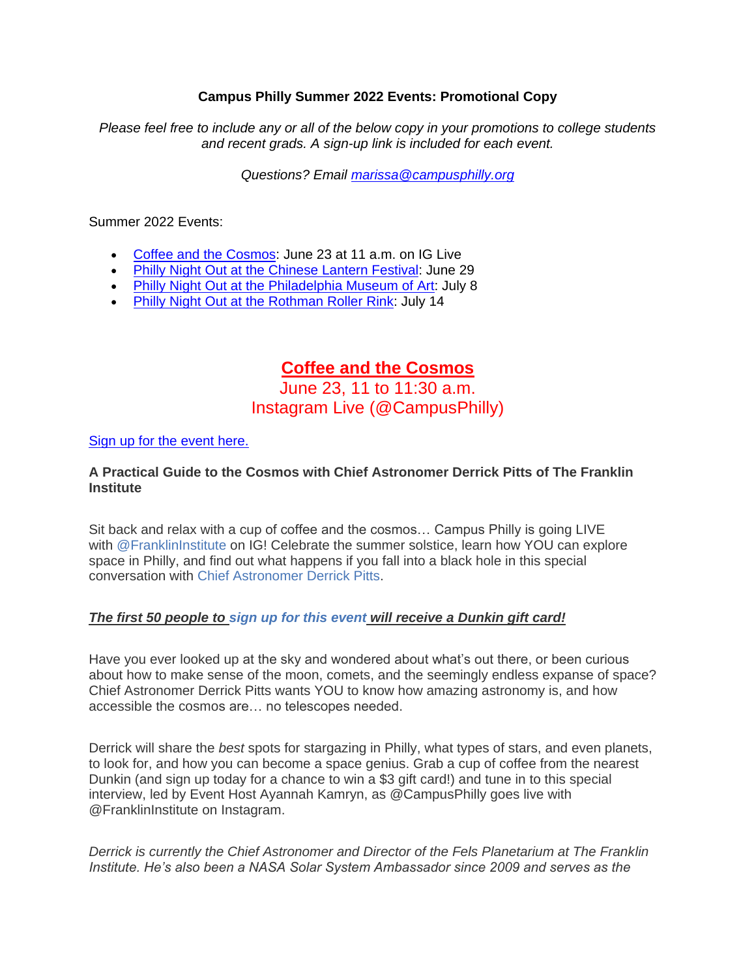### **Campus Philly Summer 2022 Events: Promotional Copy**

*Please feel free to include any or all of the below copy in your promotions to college students and recent grads. A sign-up link is included for each event.*

*Questions? Email [marissa@campusphilly.org](mailto:marissa@campusphilly.org)*

Summer 2022 Events:

- Coffee and the [Cosmos:](https://campusphilly.org/event/coffee-and-the-cosmos-on-instagram-live/) June 23 at 11 a.m. on IG Live
- Philly Night Out at the [Chinese](https://campusphilly.org/event/philly-night-out-at-the-chinese-lantern-festival/) Lantern Festival: June 29
- Philly Night Out at the [Philadelphia](https://campusphilly.org/event/philly-night-out-at-the-philadelphia-museum-of-art/) Museum of Art: July 8
- Philly Night Out at the [Rothman](https://campusphilly.org/event/philly-night-out-at-rothman-roller-rink/) Roller Rink: July 14

# **Coffee and the Cosmos**

June 23, 11 to 11:30 a.m. Instagram Live (@CampusPhilly)

### [Sign up for the event here.](https://campusphilly.org/event/coffee-and-the-cosmos-on-instagram-live/)

## **A Practical Guide to the Cosmos with Chief Astronomer Derrick Pitts of The Franklin Institute**

Sit back and relax with a cup of coffee and the cosmos… Campus Philly is going LIVE with [@FranklinInstitute](https://www.instagram.com/franklininstitute/?hl=en) on IG! Celebrate the summer solstice, learn how YOU can explore space in Philly, and find out what happens if you fall into a black hole in this special conversation with [Chief Astronomer Derrick Pitts.](https://www.fi.edu/scientists/derrick-pitts-hond)

### *The first 50 people to [sign up for this event](https://campusphilly.secure.force.com/events/targetx_eventsb__events#/esr?eid=a0P5c00000rP9KyEAK) will receive a Dunkin gift card!*

Have you ever looked up at the sky and wondered about what's out there, or been curious about how to make sense of the moon, comets, and the seemingly endless expanse of space? Chief Astronomer Derrick Pitts wants YOU to know how amazing astronomy is, and how accessible the cosmos are… no telescopes needed.

Derrick will share the *best* spots for stargazing in Philly, what types of stars, and even planets, to look for, and how you can become a space genius. Grab a cup of coffee from the nearest Dunkin (and sign up today for a chance to win a \$3 gift card!) and tune in to this special interview, led by Event Host Ayannah Kamryn, as @CampusPhilly goes live with @FranklinInstitute on Instagram.

*Derrick is currently the Chief Astronomer and Director of the Fels Planetarium at The Franklin Institute. He's also been a NASA Solar System Ambassador since 2009 and serves as the*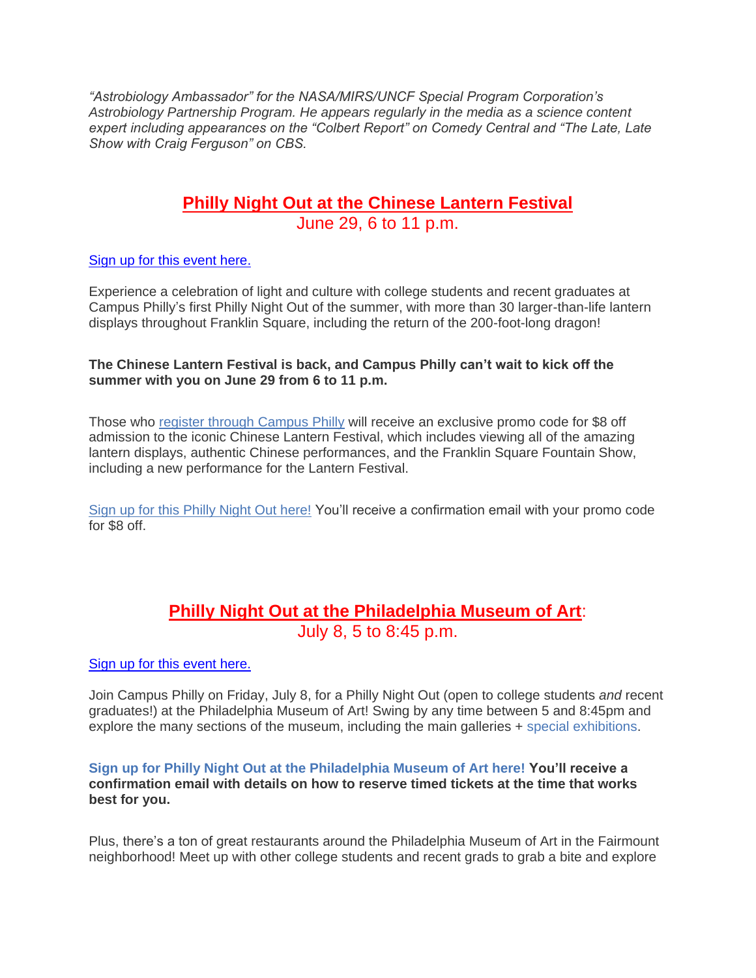*"Astrobiology Ambassador" for the NASA/MIRS/UNCF Special Program Corporation's Astrobiology Partnership Program. He appears regularly in the media as a science content expert including appearances on the "Colbert Report" on Comedy Central and "The Late, Late Show with Craig Ferguson" on CBS.*

# **Philly Night Out at the Chinese Lantern Festival** June 29, 6 to 11 p.m.

#### Sign up for [this event here.](https://campusphilly.org/event/philly-night-out-at-the-chinese-lantern-festival/)

Experience a celebration of light and culture with college students and recent graduates at Campus Philly's first Philly Night Out of the summer, with more than 30 larger-than-life lantern displays throughout Franklin Square, including the return of the 200-foot-long dragon!

#### **The Chinese Lantern Festival is back, and Campus Philly can't wait to kick off the summer with you on June 29 from 6 to 11 p.m.**

Those who [register through Campus Philly](https://campusphilly.secure.force.com/events/targetx_eventsb__events#/esr?eid=a0P5c00000rPbslEAC) will receive an exclusive promo code for \$8 off admission to the iconic Chinese Lantern Festival, which includes viewing all of the amazing lantern displays, authentic Chinese performances, and the Franklin Square Fountain Show, including a new performance for the Lantern Festival.

[Sign up for this Philly Night Out here!](https://campusphilly.secure.force.com/events/targetx_eventsb__events#/esr?eid=a0P5c00000rPbslEAC) You'll receive a confirmation email with your promo code for \$8 off.

# **Philly Night Out at the Philadelphia Museum of Art**: July 8, 5 to 8:45 p.m.

#### [Sign up for this event here.](https://campusphilly.org/event/philly-night-out-at-the-philadelphia-museum-of-art/)

Join Campus Philly on Friday, July 8, for a Philly Night Out (open to college students *and* recent graduates!) at the Philadelphia Museum of Art! Swing by any time between 5 and 8:45pm and explore the many sections of the museum, including the main galleries + [special exhibitions.](https://philamuseum.org/calendar/view-all/today/exhibitions)

#### **[Sign up for Philly Night Out at the Philadelphia Museum of Art here!](https://bit.ly/3JYNADM) You'll receive a confirmation email with details on how to reserve timed tickets at the time that works best for you.**

Plus, there's a ton of great restaurants around the Philadelphia Museum of Art in the Fairmount neighborhood! Meet up with other college students and recent grads to grab a bite and explore